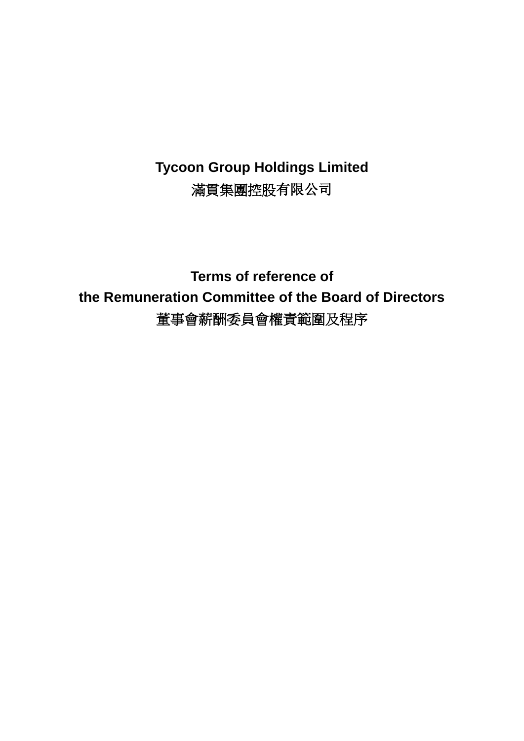# **Tycoon Group Holdings Limited** 滿貫集團控股有限公司

**Terms of reference of the Remuneration Committee of the Board of Directors** 董事會薪酬委員會權責範圍及程序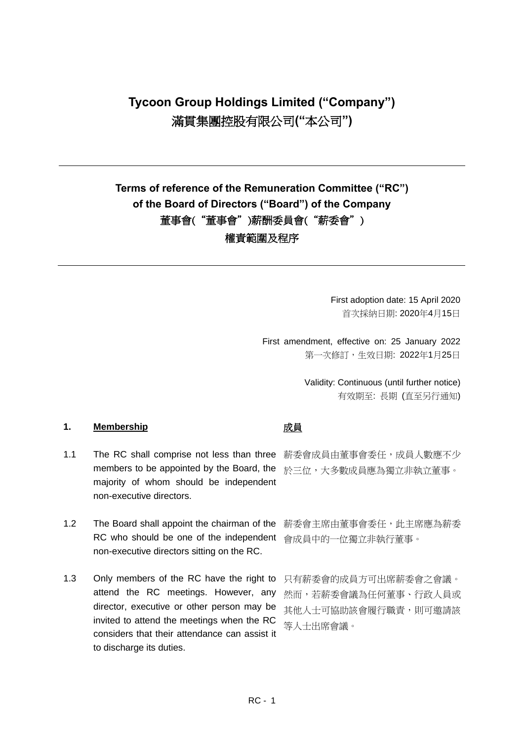# **Tycoon Group Holdings Limited ("Company")** 滿貫集團控股有限公司**("**本公司**")**

## **Terms of reference of the Remuneration Committee ("RC") of the Board of Directors ("Board") of the Company** 董事會("董事會")薪酬委員會("薪委會") 權責範圍及程序

First adoption date: 15 April 2020 首次採納日期: 2020年4月15日

First amendment, effective on: 25 January 2022 第一次修訂,生效日期: 2022年1月25日

> Validity: Continuous (until further notice) 有效期至: 長期 (直至另行通知)

### 1. Membership **interval** of the original of the original of the original of the original of the original of the original of the original of the original of the original of the original of the original of the original of t

- 1.1 The RC shall comprise not less than three 薪委會成員由董事會委任,成員人數應不少 members to be appointed by the Board, the 於三位,大多數成員應為獨立非執立董事。 majority of whom should be independent non-executive directors.
- 1.2 The Board shall appoint the chairman of the RC who should be one of the independent 會成員中的一位獨立非執行董事。 non-executive directors sitting on the RC.
- 1.3 Only members of the RC have the right to 只有薪委會的成員方可出席薪委會之會議。 attend the RC meetings. However, any director, executive or other person may be invited to attend the meetings when the RC considers that their attendance can assist it to discharge its duties.

薪委會主席由董事會委任,此主席應為薪委

然而,若薪委會議為任何董事、行政人員或 其他人士可協助該會履行職責,則可邀請該 等人士出席會議。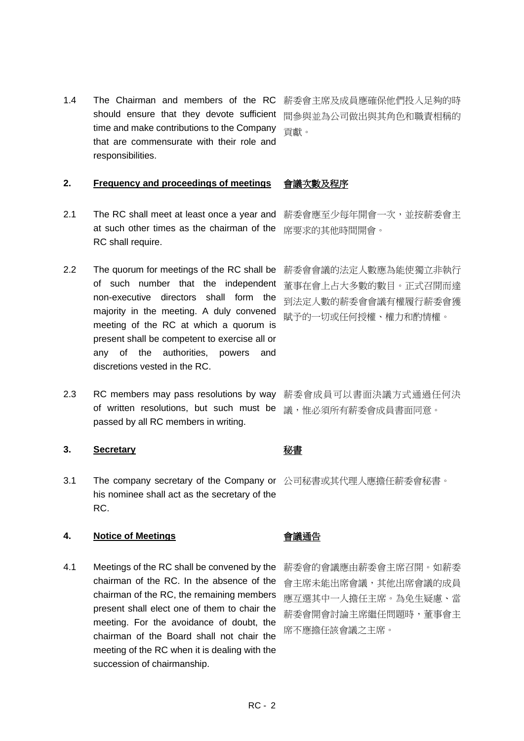1.4 The Chairman and members of the RC 薪委會主席及成員應確保他們投入足夠的時 should ensure that they devote sufficient time and make contributions to the Company that are commensurate with their role and responsibilities.

### **2. Frequency and proceedings of meetings** 會議次數及程序

- 2.1 The RC shall meet at least once a year and at such other times as the chairman of the RC shall require.
- 2.2 The quorum for meetings of the RC shall be of such number that the independent non-executive directors shall form the majority in the meeting. A duly convened meeting of the RC at which a quorum is present shall be competent to exercise all or any of the authorities, powers and discretions vested in the RC.
- 2.3 RC members may pass resolutions by way 薪委會成員可以書面決議方式通過任何決 of written resolutions, but such must be passed by all RC members in writing.

### **3. Secretary** 秘書

3.1 The company secretary of the Company or 公司秘書或其代理人應擔任薪委會秘書。 his nominee shall act as the secretary of the RC.

### **4. Notice of Meetings** 會議通告

4.1 Meetings of the RC shall be convened by the chairman of the RC. In the absence of the chairman of the RC, the remaining members present shall elect one of them to chair the meeting. For the avoidance of doubt, the chairman of the Board shall not chair the meeting of the RC when it is dealing with the succession of chairmanship.

間參與並為公司做出與其角色和職責相稱的 貢獻。

薪委會應至少每年開會一次,並按薪委會主 席要求的其他時間開會。

薪委會會議的法定人數應為能使獨立非執行 董事在會上占大多數的數目。正式召開而達 到法定人數的薪委會會議有權履行薪委會獲 賦予的一切或任何授權、權力和酌情權。

議,惟必須所有薪委會成員書面同意。

薪委會的會議應由薪委會主席召開。如薪委 會主席未能出席會議,其他出席會議的成員 應互選其中一人擔任主席。為免生疑慮、當 薪委會開會討論主席繼任問題時,董事會主 席不應擔任該會議之主席。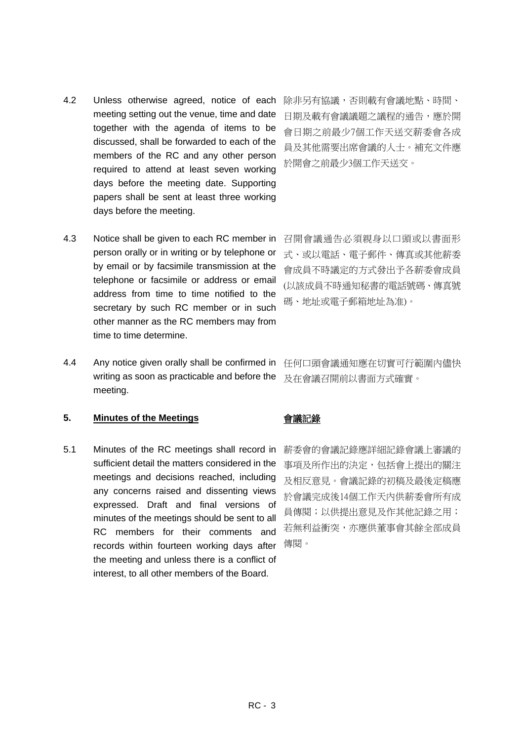- 4.2 Unless otherwise agreed, notice of each meeting setting out the venue, time and date together with the agenda of items to be discussed, shall be forwarded to each of the members of the RC and any other person required to attend at least seven working days before the meeting date. Supporting papers shall be sent at least three working days before the meeting.
- 4.3 Notice shall be given to each RC member in person orally or in writing or by telephone or by email or by facsimile transmission at the telephone or facsimile or address or email address from time to time notified to the secretary by such RC member or in such other manner as the RC members may from time to time determine.
- 4.4 Any notice given orally shall be confirmed in writing as soon as practicable and before the meeting.

### **5. Minutes of the Meetings** 會議記錄

5.1 Minutes of the RC meetings shall record in sufficient detail the matters considered in the meetings and decisions reached, including any concerns raised and dissenting views expressed. Draft and final versions of minutes of the meetings should be sent to all RC members for their comments and records within fourteen working days after the meeting and unless there is a conflict of interest, to all other members of the Board.

除非另有協議,否則載有會議地點、時間、 日期及載有會議議題之議程的通告,應於開 會日期之前最少7個工作天送交薪委會各成 員及其他需要出席會議的人士。補充文件應 於開會之前最少3個工作天送交。

召開會議通告必須親身以口頭或以書面形 式、或以電話、電子郵件、傳真或其他薪委 會成員不時議定的方式發出予各薪委會成員 (以該成員不時通知秘書的電話號碼、傳真號 碼、地址或電子郵箱地址為准)。

任何口頭會議通知應在切實可行範圍內儘快 及在會議召開前以書面方式確實。

薪委會的會議記錄應詳細記錄會議上審議的 事項及所作出的決定,包括會上提出的關注 及相反意見。會議記錄的初稿及最後定稿應 於會議完成後14個工作天內供薪委會所有成 員傳閱;以供提出意見及作其他記錄之用; 若無利益衝突,亦應供董事會其餘全部成員 傳閱。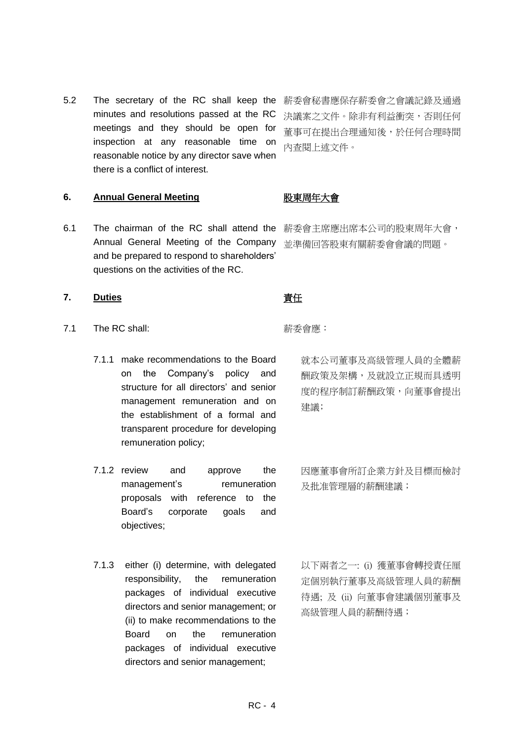5.2 The secretary of the RC shall keep the minutes and resolutions passed at the RC meetings and they should be open for inspection at any reasonable time on reasonable notice by any director save when there is a conflict of interest.

薪委會秘書應保存薪委會之會議記錄及通過 決議案之文件。除非有利益衝突,否則任何 董事可在提出合理通知後,於任何合理時間 內查閱上述文件。

### **6. Annual General Meeting** 股東周年大會

6.1 The chairman of the RC shall attend the 薪委會主席應出席本公司的股東周年大會, Annual General Meeting of the Company and be prepared to respond to shareholders' questions on the activities of the RC.

# 並準備回答股東有關薪委會會議的問題。

### **7.** Duties **the off off of the off of the off of the off of the off of the off of the off of the off of the off of the off of the off of the off of the off of the off of the off of the off of the off of the off of the of**

- 7.1 The RC shall: **The RC shall: http://www.fragmu.org/** 新委會應:
	- 7.1.1 make recommendations to the Board on the Company's policy and structure for all directors' and senior management remuneration and on the establishment of a formal and transparent procedure for developing remuneration policy;
	- 7.1.2 review and approve the management's remuneration proposals with reference to the Board's corporate goals and objectives;
	- 7.1.3 either (i) determine, with delegated responsibility, the remuneration packages of individual executive directors and senior management; or (ii) to make recommendations to the Board on the remuneration packages of individual executive directors and senior management;

建議;

就本公司董事及高級管理人員的全體薪 酬政策及架構,及就設立正規而具透明 度的程序制訂薪酬政策,向董事會提出

因應董事會所訂企業方針及目標而檢討 及批准管理層的薪酬建議;

以下兩者之一: (i) 獲董事會轉授責任厘 定個別執行董事及高級管理人員的薪酬 待遇; 及 (ii) 向董事會建議個別董事及 高級管理人員的薪酬待遇;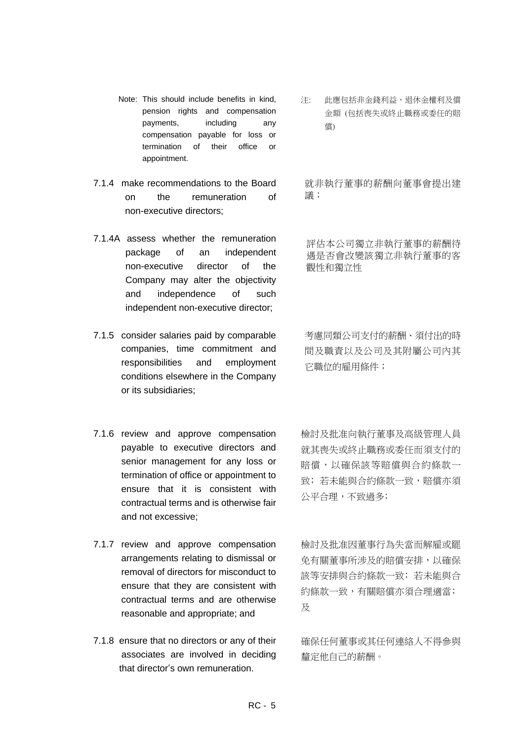- Note: This should include benefits in kind, pension rights and compensation payments, including any compensation payable for loss or termination of their office or appointment.
- 7.1.4 make recommendations to the Board on the remuneration of non-executive directors;
- 7.1.4A assess whether the remuneration package of an independent non-executive director of the Company may alter the objectivity and independence of such independent non-executive director;
- 7.1.5 consider salaries paid by comparable companies, time commitment and responsibilities and employment conditions elsewhere in the Company or its subsidiaries;
- 7.1.6 review and approve compensation payable to executive directors and senior management for any loss or termination of office or appointment to ensure that it is consistent with contractual terms and is otherwise fair and not excessive;
- 7.1.7 review and approve compensation arrangements relating to dismissal or removal of directors for misconduct to ensure that they are consistent with contractual terms and are otherwise reasonable and appropriate; and
- 7.1.8 ensure that no directors or any of their associates are involved in deciding that director's own remuneration.

注: 此應包括非金錢利益、退休金權利及償 金額 (包括喪失或終止職務或委任的賠 償)

就非執行董事的薪酬向董事會提出建 議;

評估本公司獨立非執行董事的薪酬待 遇是否會改變該獨立非執行董事的客 觀性和獨立性

考慮同類公司支付的薪酬、須付出的時 間及職責以及公司及其附屬公司內其 它職位的雇用條件;

檢討及批准向執行董事及高級管理人員 就其喪失或終止職務或委任而須支付的 賠償,以確保該等賠償與合約條款一 致;若未能與合約條款一致,賠償亦須 公平合理,不致過多;

檢討及批准因董事行為失當而解雇或罷 免有關董事所涉及的賠償安排,以確保 該等安排與合約條款一致; 若未能與合 約條款一致,有關賠償亦須合理適當; 及

確保任何董事或其任何連絡人不得參與 釐定他自己的薪酬。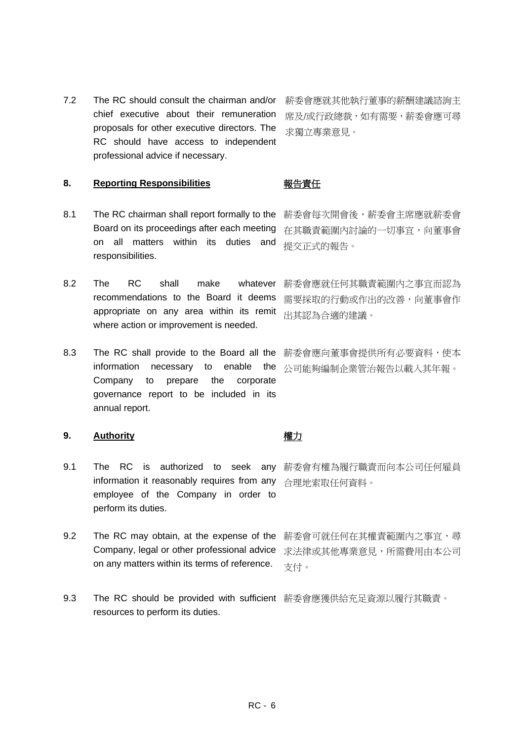7.2 The RC should consult the chairman and/or chief executive about their remuneration proposals for other executive directors. The RC should have access to independent professional advice if necessary.

薪委會應就其他執行董事的薪酬建議諮詢主 席及/或行政總裁,如有需要,薪委會應可尋 求獨立專業意見。

### 8. Reporting Responsibilities **Netable Responsibilities**

- 8.1 The RC chairman shall report formally to the 薪委會每次開會後,薪委會主席應就薪委會 Board on its proceedings after each meeting on all matters within its duties and responsibilities.
- 8.2 The RC shall make whatever recommendations to the Board it deems appropriate on any area within its remit where action or improvement is needed.
- 8.3 The RC shall provide to the Board all the 薪委會應向董事會提供所有必要資料,使本 information necessary to enable Company to prepare the corporate governance report to be included in its annual report. 公司能夠編制企業管治報告以載入其年報。

### **9. Authority** 權力

- 9.1 The RC is authorized to seek any 薪委會有權為履行職責而向本公司任何雇員 information it reasonably requires from any 合理地索取任何資料。 employee of the Company in order to perform its duties.
- 9.2 The RC may obtain, at the expense of the Company, legal or other professional advice on any matters within its terms of reference.
- 9.3 The RC should be provided with sufficient 薪委會應獲供給充足資源以履行其職責。resources to perform its duties.

薪委會可就任何在其權責範圍內之事宜,尋 求法律或其他專業意見,所需費用由本公司 支付。

在其職責範圍內討論的一切事宜,向董事會

提交正式的報告。

薪委會應就任何其職責範圍內之事宜而認為 需要採取的行動或作出的改善,向董事會作 出其認為合適的建議。